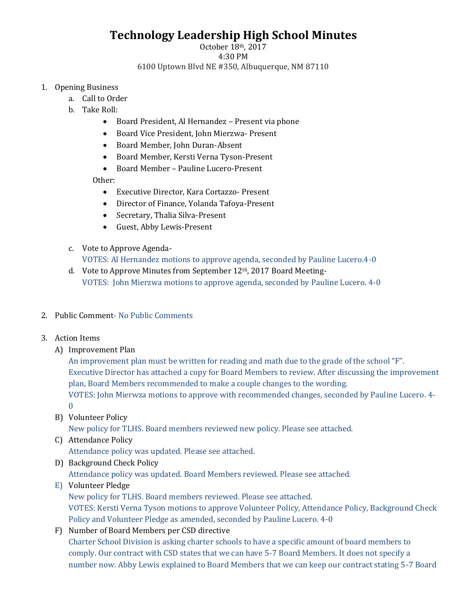# **Technology Leadership High School Minutes**

#### October 18th, 2017 4:30 PM 6100 Uptown Blvd NE #350, Albuquerque, NM 87110

- 1. Opening Business
	- a. Call to Order
	- b. Take Roll:
		- Board President, Al Hernandez Present via phone
		- Board Vice President, John Mierzwa- Present
		- Board Member, John Duran-Absent
		- Board Member, Kersti Verna Tyson-Present
		- Board Member Pauline Lucero-Present

Other:

- Executive Director, Kara Cortazzo- Present
- Director of Finance, Yolanda Tafoya-Present
- Secretary, Thalia Silva-Present
- Guest, Abby Lewis-Present
- c. Vote to Approve Agenda-VOTES: Al Hernandez motions to approve agenda, seconded by Pauline Lucero.4-0
- d. Vote to Approve Minutes from September 12<sup>th</sup>, 2017 Board Meeting-VOTES: John Mierzwa motions to approve agenda, seconded by Pauline Lucero. 4-0
- 2. Public Comment- No Public Comments
- 3. Action Items
	- A) Improvement Plan

An improvement plan must be written for reading and math due to the grade of the school "F". Executive Director has attached a copy for Board Members to review. After discussing the improvement plan, Board Members recommended to make a couple changes to the wording. VOTES: John Mierwza motions to approve with recommended changes, seconded by Pauline Lucero. 4- 0

B) Volunteer Policy

New policy for TLHS. Board members reviewed new policy. Please see attached.

- C) Attendance Policy Attendance policy was updated. Please see attached.
- D) Background Check Policy Attendance policy was updated. Board Members reviewed. Please see attached.
- E) Volunteer Pledge

New policy for TLHS. Board members reviewed. Please see attached. VOTES: Kersti Verna Tyson motions to approve Volunteer Policy, Attendance Policy, Background Check Policy and Volunteer Pledge as amended, seconded by Pauline Lucero. 4-0

F) Number of Board Members per CSD directive Charter School Division is asking charter schools to have a specific amount of board members to comply. Our contract with CSD states that we can have 5-7 Board Members. It does not specify a number now. Abby Lewis explained to Board Members that we can keep our contract stating 5-7 Board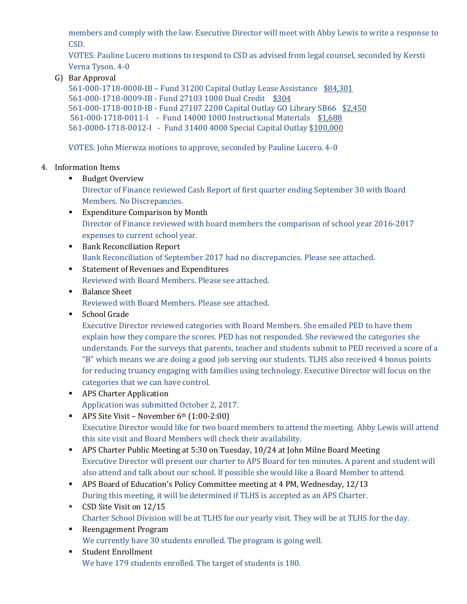members and comply with the law. Executive Director will meet with Abby Lewis to write a response to CSD.

VOTES: Pauline Lucero motions to respond to CSD as advised from legal counsel, seconded by Kersti Verna Tyson. 4-0

G) Bar Approval

561-000-1718-0008-IB – Fund 31200 Capital Outlay Lease Assistance \$84,301 561-000-1718-0009-IB - Fund 27103 1000 Dual Credit \$304 561-000-1718-0010-IB - Fund 27107 2200 Capital Outlay GO Library SB66 \$2,450 561-000-1718-0011-I - Fund 14000 1000 Instructional Materials \$1,688 561-0000-1718-0012-I - Fund 31400 4000 Special Capital Outlay \$100,000

VOTES: John Mierwza motions to approve, seconded by Pauline Lucero. 4-0

## 4. Information Items

■ Budget Overview

Director of Finance reviewed Cash Report of first quarter ending September 30 with Board Members. No Discrepancies.

- Expenditure Comparison by Month Director of Finance reviewed with board members the comparison of school year 2016-2017 expenses to current school year.
- Bank Reconciliation Report Bank Reconciliation of September 2017 had no discrepancies. Please see attached.
- Statement of Revenues and Expenditures Reviewed with Board Members. Please see attached.
- Balance Sheet Reviewed with Board Members. Please see attached.
- School Grade

Executive Director reviewed categories with Board Members. She emailed PED to have them explain how they compare the scores. PED has not responded. She reviewed the categories she understands. For the surveys that parents, teacher and students submit to PED received a score of a "B" which means we are doing a good job serving our students. TLHS also received 4 bonus points for reducing truancy engaging with families using technology. Executive Director will focus on the categories that we can have control.

- APS Charter Application Application was submitted October 2, 2017.
- $\blacksquare$  APS Site Visit November 6<sup>th</sup> (1:00-2:00) Executive Director would like for two board members to attend the meeting. Abby Lewis will attend this site visit and Board Members will check their availability.
- **APS Charter Public Meeting at 5:30 on Tuesday, 10/24 at John Milne Board Meeting** Executive Director will present our charter to APS Board for ten minutes. A parent and student will also attend and talk about our school. If possible she would like a Board Member to attend.
- APS Board of Education's Policy Committee meeting at 4 PM, Wednesday, 12/13 During this meeting, it will be determined if TLHS is accepted as an APS Charter.
- CSD Site Visit on 12/15 Charter School Division will be at TLHS for our yearly visit. They will be at TLHS for the day.
- Reengagement Program We currently have 30 students enrolled. The program is going well.
- Student Enrollment We have 179 students enrolled. The target of students is 180.